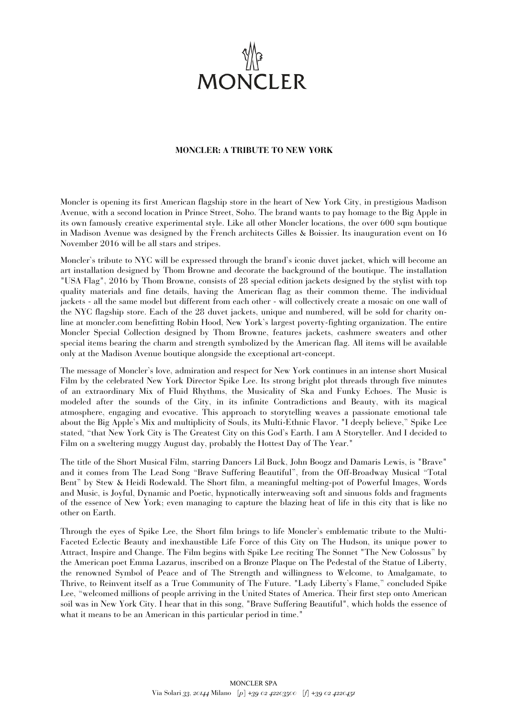

## **MONCLER: A TRIBUTE TO NEW YORK**

Moncler is opening its first American flagship store in the heart of New York City, in prestigious Madison Avenue, with a second location in Prince Street, Soho. The brand wants to pay homage to the Big Apple in its own famously creative experimental style. Like all other Moncler locations, the over 600 sqm boutique in Madison Avenue was designed by the French architects Gilles & Boissier. Its inauguration event on 16 November 2016 will be all stars and stripes.

Moncler's tribute to NYC will be expressed through the brand's iconic duvet jacket, which will become an art installation designed by Thom Browne and decorate the background of the boutique. The installation "USA Flag", 2016 by Thom Browne, consists of 28 special edition jackets designed by the stylist with top quality materials and fine details, having the American flag as their common theme. The individual jackets - all the same model but different from each other - will collectively create a mosaic on one wall of the NYC flagship store. Each of the 28 duvet jackets, unique and numbered, will be sold for charity online at moncler.com benefitting Robin Hood, New York's largest poverty-fighting organization. The entire Moncler Special Collection designed by Thom Browne, features jackets, cashmere sweaters and other special items bearing the charm and strength symbolized by the American flag. All items will be available only at the Madison Avenue boutique alongside the exceptional art-concept.

The message of Moncler's love, admiration and respect for New York continues in an intense short Musical Film by the celebrated New York Director Spike Lee. Its strong bright plot threads through five minutes of an extraordinary Mix of Fluid Rhythms, the Musicality of Ska and Funky Echoes. The Music is modeled after the sounds of the City, in its infinite Contradictions and Beauty, with its magical atmosphere, engaging and evocative. This approach to storytelling weaves a passionate emotional tale about the Big Apple's Mix and multiplicity of Souls, its Multi-Ethnic Flavor. "I deeply believe," Spike Lee stated, "that New York City is The Greatest City on this God's Earth. I am A Storyteller. And I decided to Film on a sweltering muggy August day, probably the Hottest Day of The Year."

The title of the Short Musical Film, starring Dancers Lil Buck, John Boogz and Damaris Lewis, is "Brave" and it comes from The Lead Song "Brave Suffering Beautiful", from the Off-Broadway Musical "Total Bent" by Stew & Heidi Rodewald. The Short film, a meaningful melting-pot of Powerful Images, Words and Music, is Joyful, Dynamic and Poetic, hypnotically interweaving soft and sinuous folds and fragments of the essence of New York; even managing to capture the blazing heat of life in this city that is like no other on Earth.

Through the eyes of Spike Lee, the Short film brings to life Moncler's emblematic tribute to the Multi-Faceted Eclectic Beauty and inexhaustible Life Force of this City on The Hudson, its unique power to Attract, Inspire and Change. The Film begins with Spike Lee reciting The Sonnet "The New Colossus" by the American poet Emma Lazarus, inscribed on a Bronze Plaque on The Pedestal of the Statue of Liberty, the renowned Symbol of Peace and of The Strength and willingness to Welcome, to Amalgamate, to Thrive, to Reinvent itself as a True Community of The Future. "Lady Liberty's Flame," concluded Spike Lee, "welcomed millions of people arriving in the United States of America. Their first step onto American soil was in New York City. I hear that in this song, "Brave Suffering Beautiful", which holds the essence of what it means to be an American in this particular period in time."